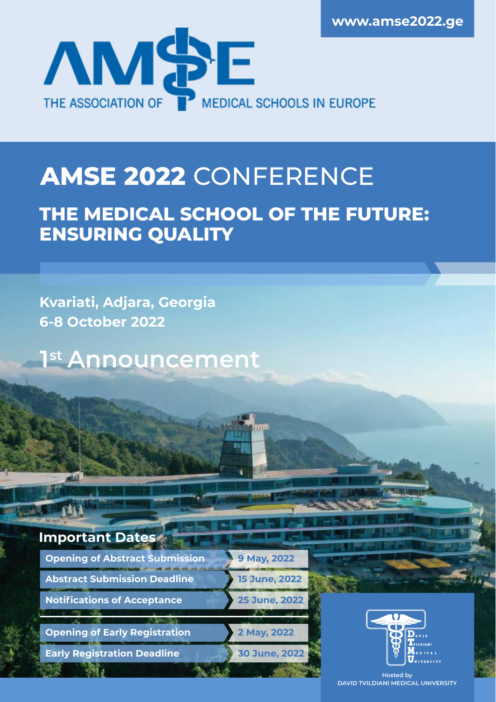

# **AMSE 2022** CONFERENCE

# **THE MEDICAL SCHOOL OF THE FUTURE: ENSURING QUALITY**

**Kvariati, Adjara, Georgia 6-8 October 2022**

**1 st Announcement**

**Important Dates**

**Opening of Abstract Submission Abstract Submission Deadline Notifications of Acceptance**

**Opening of Early Registration**

**Early Registration Deadline**



**9 May, 2022** 



**Hosted by DAVID TVILDIANI MEDICAL UNIVERSITY**